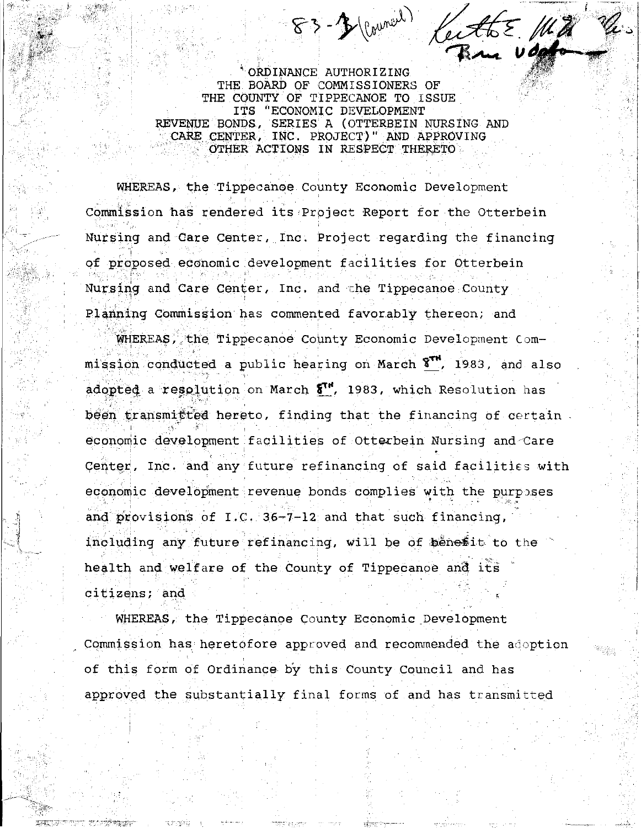ORDINANCE AUTHORIZING THE BOARD OF COMMISSIONERS OF THE COUNTY OF TIPPECANOE TO ISSUE ITS "ECONOMIC DEVELOPMENT REVENUE BONDS, SERIES A (OTTERBEIN NURSING AND CARE CENTER, INC. PROJECT)" AND APPROVING OTHER ACTIONS IN RESPECT THERETO

83-3 (courant) KeithE Mill

WHEREAS, the Tippecanoe County Economic Development Commission has rendered its Project Report for the Otterbein Nursing and Care Center, Inc. Project regarding the financing of proposed economic development facilities for Otterbein Nursing and Care Center, Inc. and the Tippecanoe County Planning Commission has commented favorably thereon; and

WHEREAS, the Tippecanoe County Economic Development Commission conducted a public hearing on March 8<sup>7</sup>, 1983, and also adopted a resolution on March  $5^{1}$ , 1983, which Resolution has been transmitted hereto, finding that the financing of certain. economic development facilities of Otterbein Nursing and Care Center, Inc. and any future refinancing of said facilities with economic development revenue bonds complies with the purposes and provisions of I.C. 36-7-12 and that such financing, including any future refinancing, will be of benesit to the health and welfare of the County of Tippecanoe and its citizens: and

WHEREAS, the Tippecanoe County Economic Development Commission has heretofore approved and recommended the adoption of this form of Ordinance by this County Council and has approved the substantially final forms of and has transmitted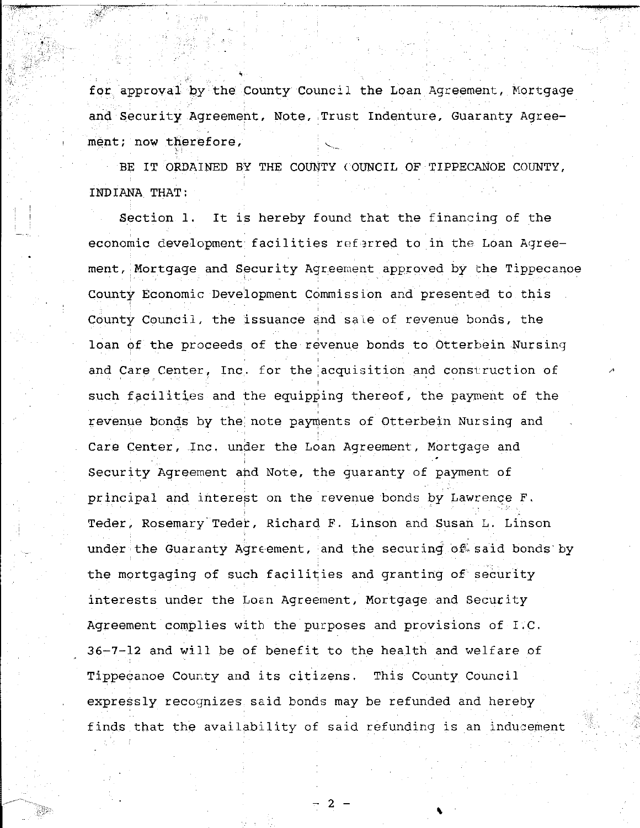for approval by the County Council the Loan Agreement, Mortgage and Security Agreement, Note, Trust Indenture, Guaranty Agreement; now therefore,

BE IT ORDAINED BY THE COUNTY COUNCIL OF TIPPECANOE COUNTY, INDIANA THAT:

It is hereby found that the financing of the Section 1. economic development facilities referred to in the Loan Agreement, Mortgage and Security Agreement approved by the Tippecanoe County Economic Development Commission and presented to this County Council, the issuance and sale of revenue bonds, the loan of the proceeds of the revenue bonds to Otterbein Nursing and Care Center, Inc. for the acquisition and construction of such facilities and the equipping thereof, the payment of the revenue bonds by the note payments of Otterbein Nursing and Care Center, Inc. under the Loan Agreement, Mortgage and Security Agreement and Note, the quaranty of payment of principal and interest on the revenue bonds by Lawrence F. Teder, Rosemary Teder, Richard F. Linson and Susan L. Linson under the Guaranty Agreement, and the securing of said bonds by the mortgaging of such facilities and granting of security interests under the Loan Agreement, Mortgage and Security Agreement complies with the purposes and provisions of I.C. 36-7-12 and will be of benefit to the health and welfare of Tippecanoe County and its citizens. This County Council expressly recognizes said bonds may be refunded and hereby finds that the availability of said refunding is an inducement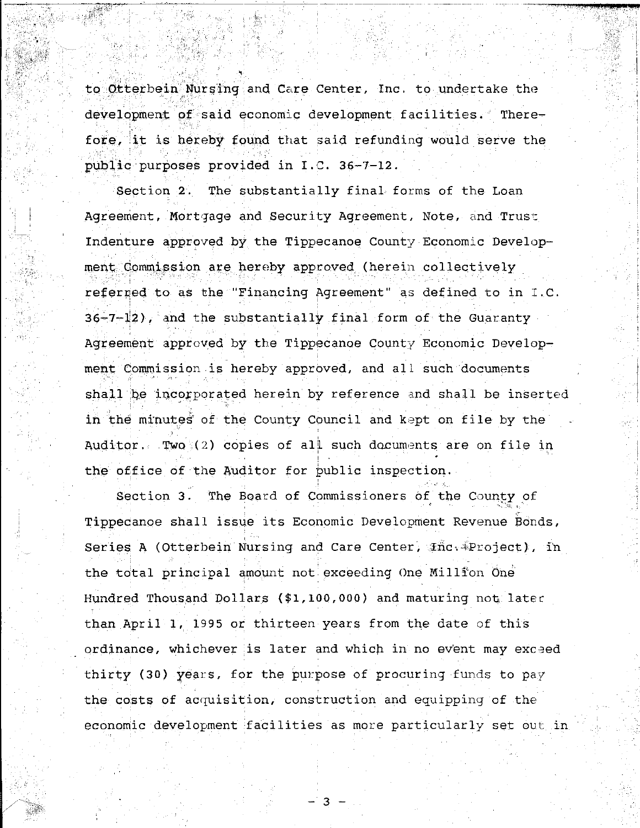to Otterbein Nursing and Care Center, Inc. to undertake the development of said economic development facilities. Therefore, it is hereby found that said refunding would serve the public purposes provided in I.C. 36-7-12.

Section 2. The substantially final forms of the Loan Agreement, Mortgage and Security Agreement, Note, and Trust Indenture approved by the Tippecanoe County Economic Development Commission are hereby approved (herein collectively referred to as the "Financing Agreement" as defined to in I.C.  $36 - 7 - 12$ ), and the substantially final form of the Guaranty Agreement approved by the Tippecanoe County Economic Development Commission is hereby approved, and all such documents shall be incorporated herein by reference and shall be inserted in the minutes of the County Council and kept on file by the Auditor. Two  $(2)$  copies of all such documents are on file in the office of the Auditor for public inspection.

Section 3. The Board of Commissioners of the County of Tippecanoe shall issue its Economic Development Revenue Bonds, Series A (Otterbein Nursing and Care Center, *inc.* Project), in the total principal amount not exceeding One Million One Hundred Thousand Dollars (\$1,100,000) and maturing not later than April 1, 1995 or thirteen years from the date of this ordinance, whichever is later and which in no event may exceed thirty (30) years, for the purpose of procuring funds to pay the costs of acquisition, construction and equipping of the economic development facilities as more particularly set out in

З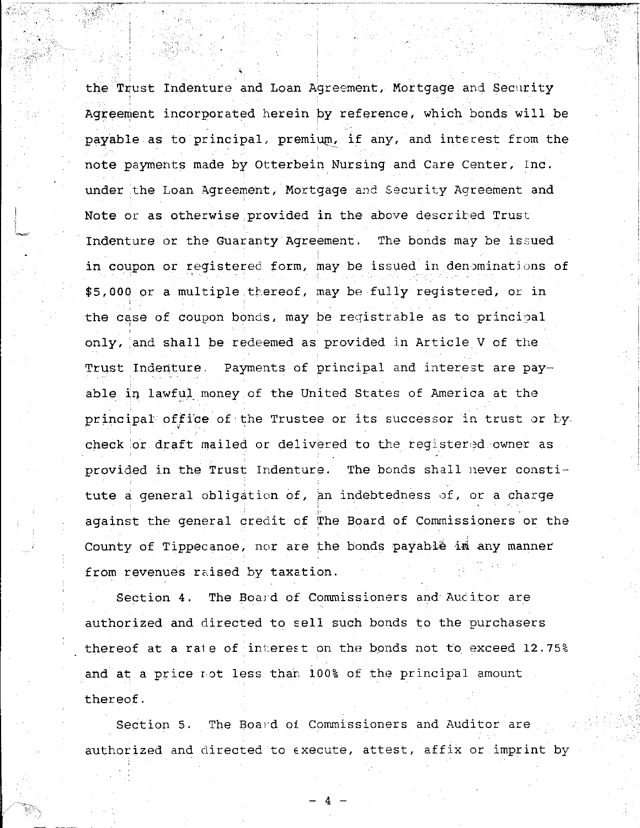' the Trust Indenture and Loan Agreement, Mortgage and Security Agreement incorporated herein by reference, which bonds will be payable as to principal, premium, if any, and interest from the note payments made by Otterbein Nursing and Care Center, Inc. under the Loan Agreement, Mortgage and Security Agreement and Note or as otherwise provided in the above described Trust Indenture or the Guaranty Agreement. The bonds may be issued in coupon or registered form, may be issued in denominations of \$5,000 or a multiple thereof, may be fully registered, or in the case of coupon bonds, may be registrable as to principal only, and shall be redeemed as provided in Article V of the Trust Indenture. Payments of principal and interest are payable in lawful money of the United States of America at the principal office of the Trustee or its successor in trust or by. check or draft mailed or delivered to the reqistered owner as provided in the Trust Indenture. The bonds shall never constitute a general obligation of, an indebtedness of, or a charge against the general credit of The Board of Commissioners or the County of Tippecanoe, nor are the bonds payable in any manner from revenues raised by taxation.

'<---~-;·> - ----------- ---- -----------,-...,.,....,.\_ .... ~--~

--------~

Section 4. The Board of Commissioners and Aucitor are authorized and directed to sell such bonds to the purchasers thereof at a rate of interest on the bonds not to exceed 12.75% and at a price rot less than 100% of the principal amount thereof.

Section 5. The Board of Commissioners and Auditor are authorized and directed to execute, attest, affix or imprint by

 $- 4 -$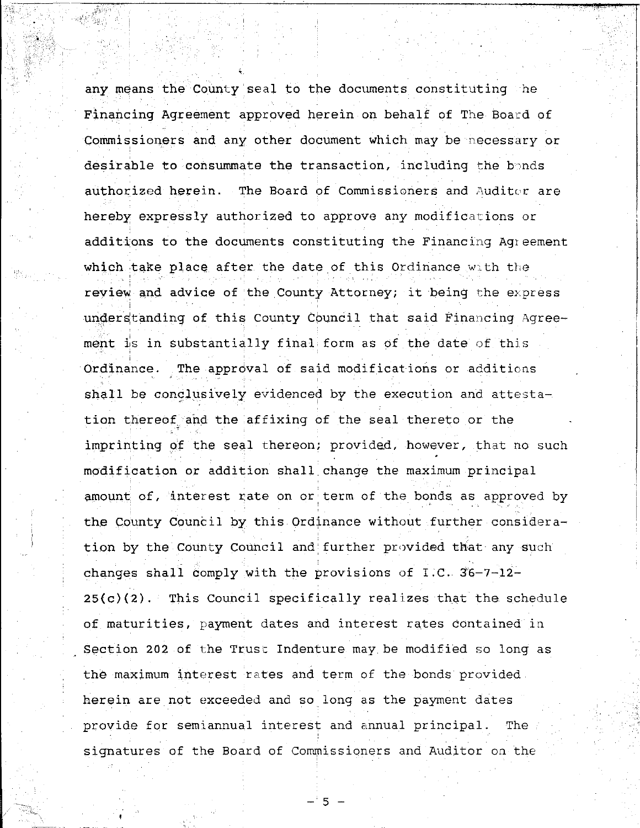' any means the County seal to the documents constituting he Financing Agreement approved herein on behalf' of The Board of Commissioners and any other document which may be necessary or desirable to consummate the transaction, including the bonds authorized herein. The Board of Commissioners and Auditor are hereby expressly authorized to approve any modifications or additions to the documents constituting the Financing Agreement which take place after the date of this Ordinance with the review and advice of the County Attorney; it being the express understanding of this County Council that said Financing Agreement is in substantially final form as of the date of this Ordinance. The approval of said modifications or additicns shall be conclusively evidenced by the execution and attestation thereof, and the affixing of the seal thereto or the imprinting of the seal thereon; provided, however, that no such modification or addition shall.change the maximum principal amount of, interest rate on or term of the bonds as approved by the County Council by this Ordinance without further consideration by the County Council and further provided that any such changes shall comply with the provisions of I.C.  $36-7-12 25(c)(2)$ . This Council specifically realizes that the schedule of maturities, payment dates and interest rates Contained in Section 202 of the Trust Indenture may be modified so long as the maximum interest rates and term of the bonds provided herein are not exceeded and so long as the payment dates provide for semiannual interest and annual principal. The signatures of the Board of Commissioners and Auditor on the

**: 한타시 : Y** W 3 3 3 3 시 : Y 2 3 4 3 4

- 5 -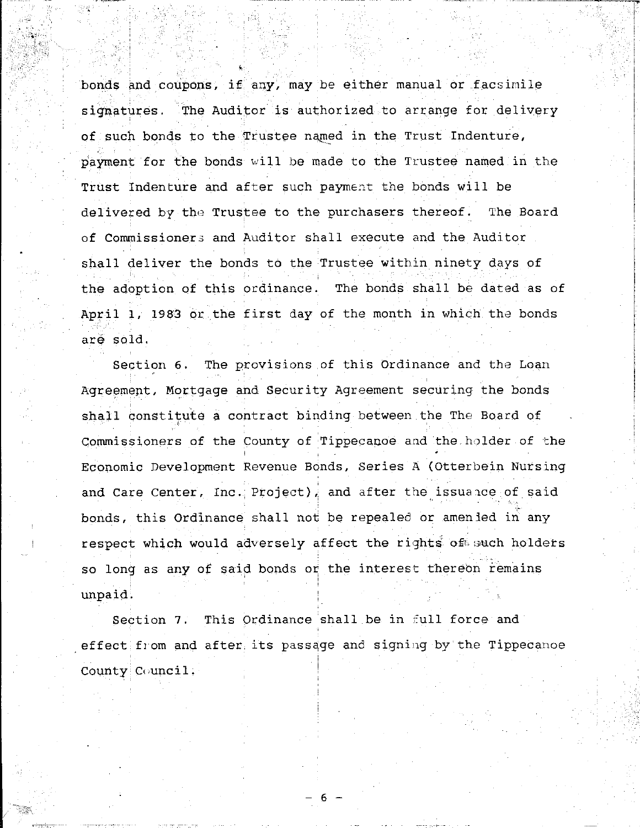bonds and coupons, if any, may be either manual or facsimile signatures. The Auditor is authorized to arrange for delivery of such bonds to the Trustee named in the Trust Indenture, payment for the bonds will be made to the Trustee named in the Trust Indenture and after such payment the bonds will be delivered by the Trustee to the purchasers thereof. The Board of Commissioner3 and Auditor shall execute and the Auditor shall deliver the bonds to the Trustee within ninety days of the adoption of this ordinance. The bonds shall be dated as of April 1, 1983 or the first day of the month in which. the bonds are sold.

,~ j I

 $\ddot{\textbf{x}}$ 

, -:·~

;!·

 $~\rightarrow$ 

Section 6. The provisions of this Ordinance and the Loan Agreement, Mortgage and Security Agreement securing the bonds shall constitute a contract binding between the The Board of Commissioners of the County of Tippecanoe and the holder of the Economic Development Revenue Bonds, Series A (Otterbein Nursing and Care Center, Inc. Project), and after the issuance of said bonds, this Ordinance shall not be repealed or amenled in any respect which would adversely affect the rights of such holders. so long as any of said bonds or the interest thereon remains unpaid.

Section 7. This Ordinance shall be in full force and effect from and after its passage and signing by the Tippecanoe County Council. i I

- 6 -